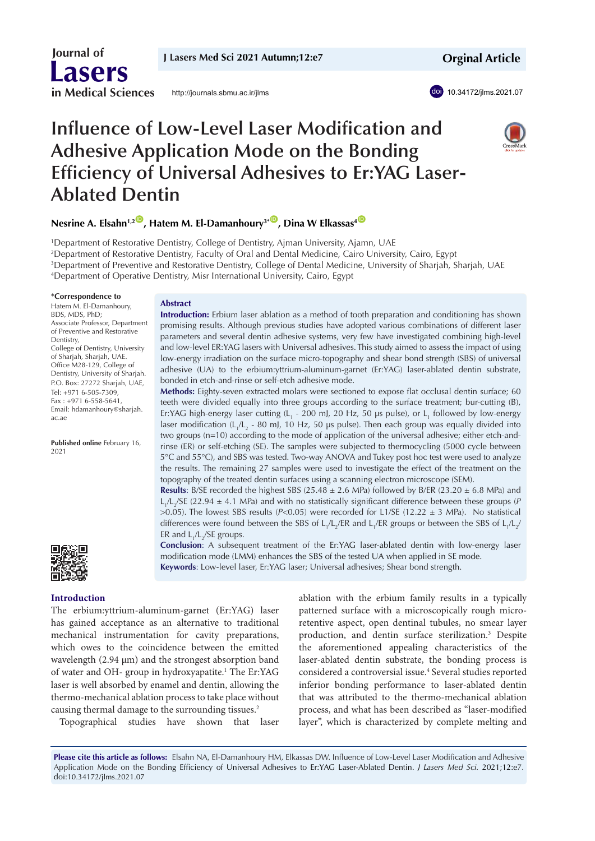**J Lasers Med Sci 2021 Autumn;12:e7**

http://journals.sbmu.ac.ir/jlms

 **Orginal Article**

doi 10.34172/jlms.2021.07

# **Influence of Low-Level Laser Modification and Adhesive Application Mode on the Bonding Efficiency of Universal Adhesives to Er:YAG Laser-Ablated Dentin**



# $N$ esrine A. Elsahn<sup>1,2</sup>  $\bullet$  , Hatem M. El-Damanhoury<sup>3\*  $\bullet$ </sup> , Dina W Elkassas<sup>4  $\bullet$ </sup>

<sup>1</sup>Department of Restorative Dentistry, College of Dentistry, Ajman University, Ajamn, UAE Department of Restorative Dentistry, Faculty of Oral and Dental Medicine, Cairo University, Cairo, Egypt Department of Preventive and Restorative Dentistry, College of Dental Medicine, University of Sharjah, Sharjah, UAE Department of Operative Dentistry, Misr International University, Cairo, Egypt

#### **\*Correspondence to**

 **Journal of**

**Lasers**

**in Medical Sciences**

Hatem M. El-Damanhoury, BDS, MDS, PhD; Associate Professor, Department of Preventive and Restorative Dentistry, College of Dentistry, University of Sharjah, Sharjah, UAE. Office M28-129, College of Dentistry, University of Sharjah. P.O. Box: 27272 Sharjah, UAE, Tel: +971 6-505-7309, Fax : +971 6-558-5641, Email: hdamanhoury@sharjah. ac.ae

**Published online** February 16, 2021

#### **Abstract**

**Introduction:** Erbium laser ablation as a method of tooth preparation and conditioning has shown promising results. Although previous studies have adopted various combinations of different laser parameters and several dentin adhesive systems, very few have investigated combining high-level and low-level ER:YAG lasers with Universal adhesives. This study aimed to assess the impact of using low-energy irradiation on the surface micro-topography and shear bond strength (SBS) of universal adhesive (UA) to the erbium:yttrium-aluminum-garnet (Er:YAG) laser-ablated dentin substrate, bonded in etch-and-rinse or self-etch adhesive mode.

**Methods:** Eighty-seven extracted molars were sectioned to expose flat occlusal dentin surface; 60 teeth were divided equally into three groups according to the surface treatment; bur-cutting (B), Er:YAG high-energy laser cutting (L<sub>1</sub> - 200 mJ, 20 Hz, 50 µs pulse), or L<sub>1</sub> followed by low-energy laser modification (L<sub>1</sub>/L<sub>2</sub> - 80 mJ, 10 Hz, 50 µs pulse). Then each group was equally divided into two groups (n=10) according to the mode of application of the universal adhesive; either etch-andrinse (ER) or self-etching (SE). The samples were subjected to thermocycling (5000 cycle between 5°C and 55°C), and SBS was tested. Two-way ANOVA and Tukey post hoc test were used to analyze the results. The remaining 27 samples were used to investigate the effect of the treatment on the topography of the treated dentin surfaces using a scanning electron microscope (SEM).

**Results:** B/SE recorded the highest SBS (25.48  $\pm$  2.6 MPa) followed by B/ER (23.20  $\pm$  6.8 MPa) and L<sub>1</sub>/L<sub>2</sub>/SE (22.94 ± 4.1 MPa) and with no statistically significant difference between these groups (P  $>0.05$ ). The lowest SBS results ( $P<0.05$ ) were recorded for L1/SE (12.22  $\pm$  3 MPa). No statistical differences were found between the SBS of L<sub>1</sub>/L<sub>2</sub>/ER and L<sub>1</sub>/ER groups or between the SBS of L<sub>1</sub>/L<sub>2</sub>/ ER and  $L_1/L_2/SE$  groups.

**Conclusion**: A subsequent treatment of the Er:YAG laser-ablated dentin with low-energy laser modification mode (LMM) enhances the SBS of the tested UA when applied in SE mode. **Keywords**: Low-level laser, Er:YAG laser; Universal adhesives; Shear bond strength.



#### **Introduction**

The erbium:yttrium-aluminum-garnet (Er:YAG) laser has gained acceptance as an alternative to traditional mechanical instrumentation for cavity preparations, which owes to the coincidence between the emitted wavelength (2.94 µm) and the strongest absorption band of water and OH- group in hydroxyapatite.<sup>1</sup> The Er:YAG laser is well absorbed by enamel and dentin, allowing the thermo-mechanical ablation process to take place without causing thermal damage to the surrounding tissues.<sup>2</sup>

Topographical studies have shown that laser

ablation with the erbium family results in a typically patterned surface with a microscopically rough microretentive aspect, open dentinal tubules, no smear layer production, and dentin surface sterilization.<sup>3</sup> Despite the aforementioned appealing characteristics of the laser-ablated dentin substrate, the bonding process is considered a controversial issue.<sup>4</sup> Several studies reported inferior bonding performance to laser-ablated dentin that was attributed to the thermo-mechanical ablation process, and what has been described as "laser-modified layer", which is characterized by complete melting and

**Please cite this article as follows:** Elsahn NA, El-Damanhoury HM, Elkassas DW. Influence of Low-Level Laser Modification and Adhesive Application Mode on the Bonding Efficiency of Universal Adhesives to Er:YAG Laser-Ablated Dentin. *J Lasers Med Sci.* 2021;12:e7. doi:10.34172/jlms.2021.07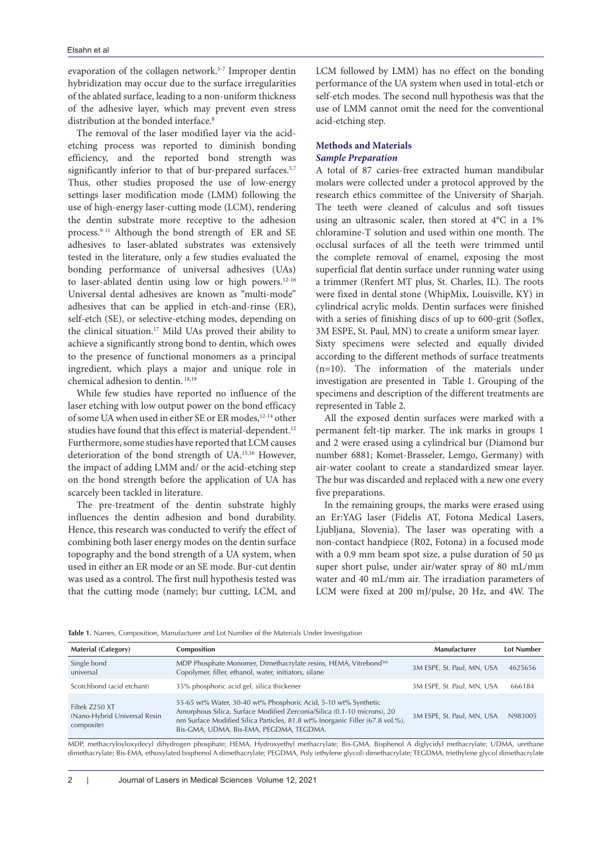evaporation of the collagen network.5-7 Improper dentin hybridization may occur due to the surface irregularities of the ablated surface, leading to a non-uniform thickness of the adhesive layer, which may prevent even stress distribution at the bonded interface.<sup>8</sup>

The removal of the laser modified layer via the acidetching process was reported to diminish bonding efficiency, and the reported bond strength was significantly inferior to that of bur-prepared surfaces.<sup>5,7</sup> Thus, other studies proposed the use of low-energy settings laser modification mode (LMM) following the use of high-energy laser-cutting mode (LCM), rendering the dentin substrate more receptive to the adhesion process.9-11 Although the bond strength of ER and SE adhesives to laser-ablated substrates was extensively tested in the literature, only a few studies evaluated the bonding performance of universal adhesives (UAs) to laser-ablated dentin using low or high powers.12-16 Universal dental adhesives are known as "multi-mode" adhesives that can be applied in etch-and-rinse (ER), self-etch (SE), or selective-etching modes, depending on the clinical situation.<sup>17</sup> Mild UAs proved their ability to achieve a significantly strong bond to dentin, which owes to the presence of functional monomers as a principal ingredient, which plays a major and unique role in chemical adhesion to dentin. 18,19

While few studies have reported no influence of the laser etching with low output power on the bond efficacy of some UA when used in either SE or ER modes,12-14 other studies have found that this effect is material-dependent.<sup>12</sup> Furthermore, some studies have reported that LCM causes deterioration of the bond strength of UA.15,16 However, the impact of adding LMM and/ or the acid-etching step on the bond strength before the application of UA has scarcely been tackled in literature.

The pre-treatment of the dentin substrate highly influences the dentin adhesion and bond durability. Hence, this research was conducted to verify the effect of combining both laser energy modes on the dentin surface topography and the bond strength of a UA system, when used in either an ER mode or an SE mode. Bur-cut dentin was used as a control. The first null hypothesis tested was that the cutting mode (namely; bur cutting, LCM, and LCM followed by LMM) has no effect on the bonding performance of the UA system when used in total-etch or self-etch modes. The second null hypothesis was that the use of LMM cannot omit the need for the conventional acid-etching step.

# **Methods and Materials Sample Preparation**

A total of 87 caries-free extracted human mandibular molars were collected under a protocol approved by the research ethics committee of the University of Sharjah. The teeth were cleaned of calculus and soft tissues using an ultrasonic scaler, then stored at 4°C in a 1% chloramine-T solution and used within one month. The occlusal surfaces of all the teeth were trimmed until the complete removal of enamel, exposing the most superficial flat dentin surface under running water using a trimmer (Renfert MT plus, St. Charles, IL). The roots were fixed in dental stone (WhipMix, Louisville, KY) in cylindrical acrylic molds. Dentin surfaces were finished with a series of finishing discs of up to 600-grit (Soflex, 3M ESPE, St. Paul, MN) to create a uniform smear layer. Sixty specimens were selected and equally divided according to the different methods of surface treatments (n=10). The information of the materials under investigation are presented in Table 1. Grouping of the specimens and description of the different treatments are represented in Table 2.

All the exposed dentin surfaces were marked with a permanent felt-tip marker. The ink marks in groups 1 and 2 were erased using a cylindrical bur (Diamond bur number 6881; Komet-Brasseler, Lemgo, Germany) with air-water coolant to create a standardized smear layer. The bur was discarded and replaced with a new one every five preparations.

In the remaining groups, the marks were erased using an Er:YAG laser (Fidelis AT, Fotona Medical Lasers, Ljubljana, Slovenia). The laser was operating with a non-contact handpiece (R02, Fotona) in a focused mode with a 0.9 mm beam spot size, a pulse duration of 50 μs super short pulse, under air/water spray of 80 mL/mm water and 40 mL/mm air. The irradiation parameters of LCM were fixed at 200 mJ/pulse, 20 Hz, and 4W. The

**Table 1.** Names, Composition, Manufacturer and Lot Number of the Materials Under Investigation

| <b>Material (Category)</b>                                   | Composition                                                                                                                                                                                                                                                           | Manufacturer               | <b>Lot Number</b> |
|--------------------------------------------------------------|-----------------------------------------------------------------------------------------------------------------------------------------------------------------------------------------------------------------------------------------------------------------------|----------------------------|-------------------|
| Single bond<br>universal                                     | MDP Phosphate Monomer, Dimethacrylate resins, HEMA, Vitrebond™<br>Copolymer, filler, ethanol, water, initiators, silane                                                                                                                                               | 3M ESPE, St. Paul, MN, USA | 4625656           |
| Scotchbond (acid etchant)                                    | 35% phosphoric acid gel, silica thickener                                                                                                                                                                                                                             | 3M ESPE, St. Paul, MN, USA | 666184            |
| Filtek 7250 XT<br>(Nano-Hybrid Universal Resin<br>composite) | 55-65 wt% Water, 30-40 wt% Phosphoric Acid, 5-10 wt% Synthetic<br>Amorphous Silica, Surface Modified Zerconia/Silica (0.1-10 microns), 20<br>nm Surface Modified Silica Particles, 81.8 wt% Inorganic Filler (67.8 vol.%),<br>Bis-GMA, UDMA, Bis-EMA, PEGDMA, TEGDMA. | 3M ESPE, St. Paul, MN, USA | N983005           |

MDP, methacryloyloxydecyl dihydrogen phosphate; HEMA, Hydroxyethyl methacrylate; Bis-GMA, Bisphenol A diglycidyl methacrylate; UDMA, urethane dimethacrylate; Bis-EMA, ethoxylated bisphenol A dimethacrylate; PEGDMA, Poly (ethylene glycol) dimethacrylate; TEGDMA, triethylene glycol dimethacrylate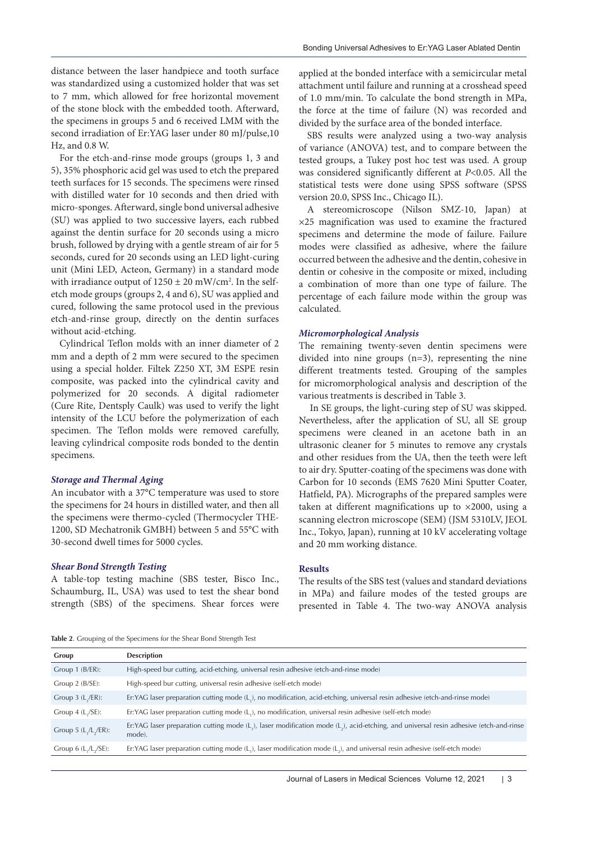distance between the laser handpiece and tooth surface was standardized using a customized holder that was set to 7 mm, which allowed for free horizontal movement of the stone block with the embedded tooth. Afterward, the specimens in groups 5 and 6 received LMM with the second irradiation of Er:YAG laser under 80 mJ/pulse,10 Hz, and 0.8 W.

For the etch-and-rinse mode groups (groups 1, 3 and 5), 35% phosphoric acid gel was used to etch the prepared teeth surfaces for 15 seconds. The specimens were rinsed with distilled water for 10 seconds and then dried with micro-sponges. Afterward, single bond universal adhesive (SU) was applied to two successive layers, each rubbed against the dentin surface for 20 seconds using a micro brush, followed by drying with a gentle stream of air for 5 seconds, cured for 20 seconds using an LED light-curing unit (Mini LED, Acteon, Germany) in a standard mode with irradiance output of  $1250 \pm 20$  mW/cm<sup>2</sup>. In the selfetch mode groups (groups 2, 4 and 6), SU was applied and cured, following the same protocol used in the previous etch-and-rinse group, directly on the dentin surfaces without acid-etching.

Cylindrical Teflon molds with an inner diameter of 2 mm and a depth of 2 mm were secured to the specimen using a special holder. Filtek Z250 XT, 3M ESPE resin composite, was packed into the cylindrical cavity and polymerized for 20 seconds. A digital radiometer (Cure Rite, Dentsply Caulk) was used to verify the light intensity of the LCU before the polymerization of each specimen. The Teflon molds were removed carefully, leaving cylindrical composite rods bonded to the dentin specimens.

#### **Storage and Thermal Aging**

An incubator with a 37°C temperature was used to store the specimens for 24 hours in distilled water, and then all the specimens were thermo-cycled (Thermocycler THE-1200, SD Mechatronik GMBH) between 5 and 55°C with 30-second dwell times for 5000 cycles.

### **Shear Bond Strength Testing**

A table-top testing machine (SBS tester, Bisco Inc., Schaumburg, IL, USA) was used to test the shear bond strength (SBS) of the specimens. Shear forces were

applied at the bonded interface with a semicircular metal attachment until failure and running at a crosshead speed of 1.0 mm/min. To calculate the bond strength in MPa, the force at the time of failure (N) was recorded and divided by the surface area of the bonded interface.

SBS results were analyzed using a two-way analysis of variance (ANOVA) test, and to compare between the tested groups, a Tukey post hoc test was used. A group was considered significantly different at P<0.05. All the statistical tests were done using SPSS software (SPSS version 20.0, SPSS Inc., Chicago IL).

A stereomicroscope (Nilson SMZ-10, Japan) at ×25 magnification was used to examine the fractured specimens and determine the mode of failure. Failure modes were classified as adhesive, where the failure occurred between the adhesive and the dentin, cohesive in dentin or cohesive in the composite or mixed, including a combination of more than one type of failure. The percentage of each failure mode within the group was calculated.

#### **Micromorphological Analysis**

The remaining twenty-seven dentin specimens were divided into nine groups (n=3), representing the nine different treatments tested. Grouping of the samples for micromorphological analysis and description of the various treatments is described in Table 3.

 In SE groups, the light-curing step of SU was skipped. Nevertheless, after the application of SU, all SE group specimens were cleaned in an acetone bath in an ultrasonic cleaner for 5 minutes to remove any crystals and other residues from the UA, then the teeth were left to air dry. Sputter-coating of the specimens was done with Carbon for 10 seconds (EMS 7620 Mini Sputter Coater, Hatfield, PA). Micrographs of the prepared samples were taken at different magnifications up to ×2000, using a scanning electron microscope (SEM) (JSM 5310LV, JEOL Inc., Tokyo, Japan), running at 10 kV accelerating voltage and 20 mm working distance.

#### **Results**

The results of the SBS test (values and standard deviations in MPa) and failure modes of the tested groups are presented in Table 4. The two-way ANOVA analysis

**Table 2**. Grouping of the Specimens for the Shear Bond Strength Test

| Group                    | <b>Description</b>                                                                                                                             |
|--------------------------|------------------------------------------------------------------------------------------------------------------------------------------------|
| Group 1 (B/ER):          | High-speed bur cutting, acid-etching, universal resin adhesive (etch-and-rinse mode)                                                           |
| Group $2$ ( $B/SE$ ):    | High-speed bur cutting, universal resin adhesive (self-etch mode)                                                                              |
| Group $3$ (L,/ER):       | Er:YAG laser preparation cutting mode (L,), no modification, acid-etching, universal resin adhesive (etch-and-rinse mode)                      |
| Group $4$ (L,/SE):       | Er:YAG laser preparation cutting mode (L,), no modification, universal resin adhesive (self-etch mode)                                         |
| Group 5 $(L_1/L_2/ER)$ : | Er:YAG laser preparation cutting mode (L,), laser modification mode (L,), acid-etching, and universal resin adhesive (etch-and-rinse<br>mode). |
| Group 6 $(L, /L, /SE)$ : | Er:YAG laser preparation cutting mode $(L_i)$ , laser modification mode $(L_i)$ , and universal resin adhesive (self-etch mode)                |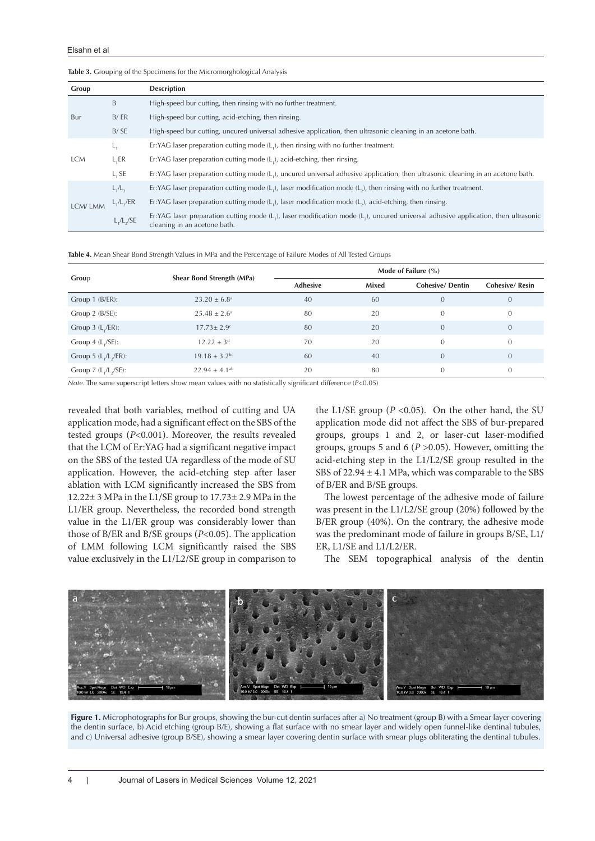$L_1/L_2$ 

| Group      |              | <b>Description</b>                                                                                                                                                                               |
|------------|--------------|--------------------------------------------------------------------------------------------------------------------------------------------------------------------------------------------------|
| Bur        | B            | High-speed bur cutting, then rinsing with no further treatment.                                                                                                                                  |
|            | B/ER         | High-speed bur cutting, acid-etching, then rinsing.                                                                                                                                              |
|            | B/SE         | High-speed bur cutting, uncured universal adhesive application, then ultrasonic cleaning in an acetone bath.                                                                                     |
| <b>LCM</b> | L,           | Er: YAG laser preparation cutting mode $(L_1)$ , then rinsing with no further treatment.                                                                                                         |
|            | L,ER         | Er:YAG laser preparation cutting mode (L,), acid-etching, then rinsing.                                                                                                                          |
|            | L, SE        | Er:YAG laser preparation cutting mode (L,), uncured universal adhesive application, then ultrasonic cleaning in an acetone bath.                                                                 |
| LCM/LMM    | $L_1/L_2$    | Er:YAG laser preparation cutting mode $(L_1)$ , laser modification mode $(L_2)$ , then rinsing with no further treatment.                                                                        |
|            | $L_1/L_2/ER$ | Er:YAG laser preparation cutting mode $(L_1)$ , laser modification mode $(L_2)$ , acid-etching, then rinsing.                                                                                    |
|            | L, /L, /SE   | Er:YAG laser preparation cutting mode $(L_i)$ , laser modification mode $(L_i)$ , uncured universal adhesive application, then ultrasonic<br>tal a distance del terre la capacidad de la sigle d |

#### **Table 3.** Grouping of the Specimens for the Micromorghological Analysis

**Table 4.** Mean Shear Bond Strength Values in MPa and the Percentage of Failure Modes of All Tested Groups

cleaning in an acetone bath.

| Group                    | Shear Bond Strength (MPa)     | Mode of Failure $(\% )$ |       |                        |                       |
|--------------------------|-------------------------------|-------------------------|-------|------------------------|-----------------------|
|                          |                               | <b>Adhesive</b>         | Mixed | <b>Cohesive/Dentin</b> | <b>Cohesive/Resin</b> |
| Group 1 (B/ER):          | $23.20 \pm 6.8^{\circ}$       | 40                      | 60    | $\overline{0}$         | $\mathbf{0}$          |
| Group 2 (B/SE):          | $25.48 \pm 2.6^{\circ}$       | 80                      | 20    | $\theta$               | $\theta$              |
| Group $3$ ( $L_1$ /ER):  | $17.73 \pm 2.9$ <sup>c</sup>  | 80                      | 20    | $\overline{0}$         | $\mathbf{0}$          |
| Group $4$ (L,/SE):       | $12.22 \pm 3^d$               | 70                      | 20    | $\theta$               | $\overline{0}$        |
| Group 5 $(L, /L, /ER)$ : | $19.18 \pm 3.2$ <sup>bc</sup> | 60                      | 40    | $\overline{0}$         | $\overline{0}$        |
| Group $7$ (L,/L,/SE):    | $22.94 \pm 4.1^{ab}$          | 20                      | 80    | $\theta$               | $\mathbf{0}$          |

*Note*. The same superscript letters show mean values with no statistically significant difference (*P*<0.05)

revealed that both variables, method of cutting and UA application mode, had a significant effect on the SBS of the tested groups (P<0.001). Moreover, the results revealed that the LCM of Er:YAG had a significant negative impact on the SBS of the tested UA regardless of the mode of SU application. However, the acid-etching step after laser ablation with LCM significantly increased the SBS from 12.22± 3 MPa in the L1/SE group to 17.73± 2.9 MPa in the L1/ER group. Nevertheless, the recorded bond strength value in the L1/ER group was considerably lower than those of B/ER and B/SE groups  $(P<0.05)$ . The application of LMM following LCM significantly raised the SBS value exclusively in the L1/L2/SE group in comparison to

the L1/SE group ( $P < 0.05$ ). On the other hand, the SU application mode did not affect the SBS of bur-prepared groups, groups 1 and 2, or laser-cut laser-modified groups, groups 5 and 6 ( $P > 0.05$ ). However, omitting the acid-etching step in the L1/L2/SE group resulted in the SBS of  $22.94 \pm 4.1$  MPa, which was comparable to the SBS of B/ER and B/SE groups.

The lowest percentage of the adhesive mode of failure was present in the L1/L2/SE group (20%) followed by the B/ER group (40%). On the contrary, the adhesive mode was the predominant mode of failure in groups B/SE, L1/ ER, L1/SE and L1/L2/ER.

The SEM topographical analysis of the dentin



**Figure 1.** Microphotographs for Bur groups, showing the bur-cut dentin surfaces after a) No treatment (group B) with a Smear layer covering the dentin surface, b) Acid etching (group B/E), showing a flat surface with no smear layer and widely open funnel-like dentinal tubules, and c) Universal adhesive (group B/SE), showing a smear layer covering dentin surface with smear plugs obliterating the dentinal tubules.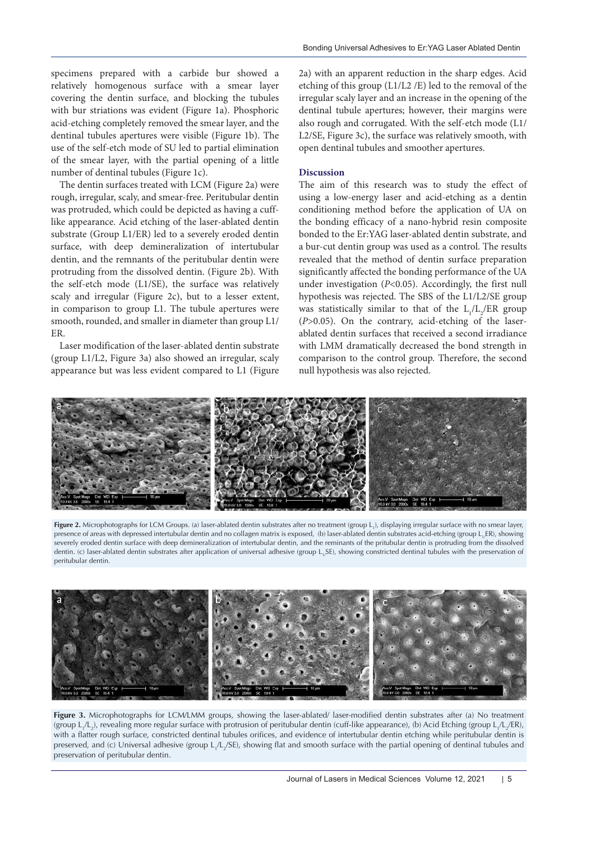specimens prepared with a carbide bur showed a relatively homogenous surface with a smear layer covering the dentin surface, and blocking the tubules with bur striations was evident (Figure 1a). Phosphoric acid-etching completely removed the smear layer, and the dentinal tubules apertures were visible (Figure 1b). The use of the self-etch mode of SU led to partial elimination of the smear layer, with the partial opening of a little number of dentinal tubules (Figure 1c).

The dentin surfaces treated with LCM (Figure 2a) were rough, irregular, scaly, and smear-free. Peritubular dentin was protruded, which could be depicted as having a cufflike appearance. Acid etching of the laser-ablated dentin substrate (Group L1/ER) led to a severely eroded dentin surface, with deep demineralization of intertubular dentin, and the remnants of the peritubular dentin were protruding from the dissolved dentin. (Figure 2b). With the self-etch mode (L1/SE), the surface was relatively scaly and irregular (Figure 2c), but to a lesser extent, in comparison to group L1. The tubule apertures were smooth, rounded, and smaller in diameter than group L1/ ER.

Laser modification of the laser-ablated dentin substrate (group L1/L2, Figure 3a) also showed an irregular, scaly appearance but was less evident compared to L1 (Figure

2a) with an apparent reduction in the sharp edges. Acid etching of this group (L1/L2 /E) led to the removal of the irregular scaly layer and an increase in the opening of the dentinal tubule apertures; however, their margins were also rough and corrugated. With the self-etch mode (L1/ L2/SE, Figure 3c), the surface was relatively smooth, with open dentinal tubules and smoother apertures.

### **Discussion**

The aim of this research was to study the effect of using a low-energy laser and acid-etching as a dentin conditioning method before the application of UA on the bonding efficacy of a nano-hybrid resin composite bonded to the Er:YAG laser-ablated dentin substrate, and a bur-cut dentin group was used as a control. The results revealed that the method of dentin surface preparation significantly affected the bonding performance of the UA under investigation (P<0.05). Accordingly, the first null hypothesis was rejected. The SBS of the L1/L2/SE group was statistically similar to that of the  $L_1/L_2/ER$  group  $(P>0.05)$ . On the contrary, acid-etching of the laserablated dentin surfaces that received a second irradiance with LMM dramatically decreased the bond strength in comparison to the control group. Therefore, the second null hypothesis was also rejected.



**Figure 2.** Microphotographs for LCM Groups. (a) laser-ablated dentin substrates after no treatment (group L<sub>1</sub>), displaying irregular surface with no smear layer, presence of areas with depressed intertubular dentin and no collagen matrix is exposed, (b) laser-ablated dentin substrates acid-etching (group L, ER), showing severely eroded dentin surface with deep demineralization of intertubular dentin, and the reminants of the pritubular dentin is protruding from the dissolved dentin. (c) laser-ablated dentin substrates after application of universal adhesive (group L<sub>1</sub>SE), showing constricted dentinal tubules with the preservation of peritubular dentin.



**Figure 3.** Microphotographs for LCM/LMM groups, showing the laser-ablated/ laser-modified dentin substrates after (a) No treatment (group L<sub>1</sub>/L<sub>2</sub>), revealing more regular surface with protrusion of peritubular dentin (cuff-like appearance), (b) Acid Etching (group L<sub>1</sub>/L<sub>2</sub>/ER), with a flatter rough surface, constricted dentinal tubules orifices, and evidence of intertubular dentin etching while peritubular dentin is preserved, and (c) Universal adhesive (group L<sub>1</sub>/L<sub>2</sub>/SE), showing flat and smooth surface with the partial opening of dentinal tubules and preservation of peritubular dentin.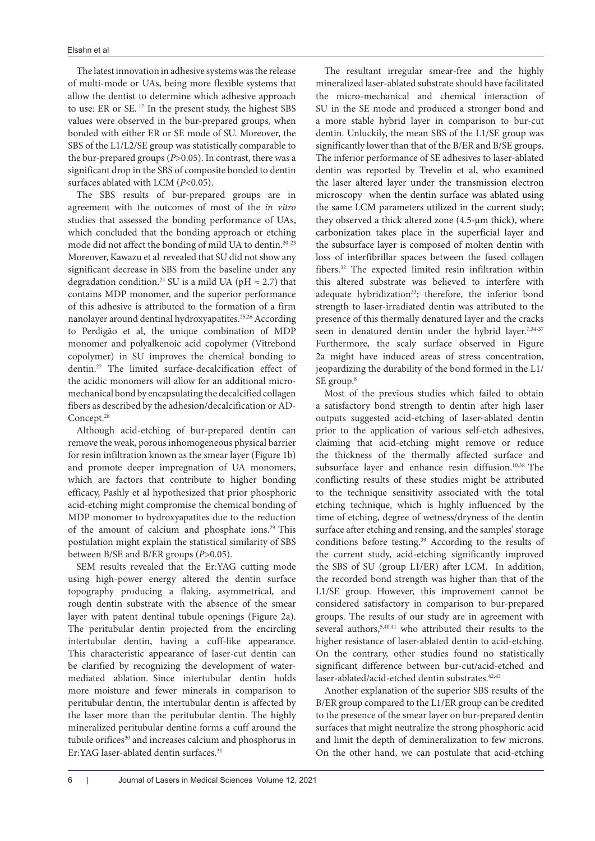The latest innovation in adhesive systems was the release of multi-mode or UAs, being more flexible systems that allow the dentist to determine which adhesive approach to use: ER or SE.<sup>17</sup> In the present study, the highest SBS values were observed in the bur-prepared groups, when bonded with either ER or SE mode of SU. Moreover, the SBS of the L1/L2/SE group was statistically comparable to the bur-prepared groups ( $P > 0.05$ ). In contrast, there was a significant drop in the SBS of composite bonded to dentin surfaces ablated with LCM (P<0.05).

The SBS results of bur-prepared groups are in agreement with the outcomes of most of the in vitro studies that assessed the bonding performance of UAs, which concluded that the bonding approach or etching mode did not affect the bonding of mild UA to dentin.20-23 Moreover, Kawazu et al revealed that SU did not show any significant decrease in SBS from the baseline under any degradation condition.<sup>24</sup> SU is a mild UA ( $pH \approx 2.7$ ) that contains MDP monomer, and the superior performance of this adhesive is attributed to the formation of a firm nanolayer around dentinal hydroxyapatites.25,26 According to Perdigão et al, the unique combination of MDP monomer and polyalkenoic acid copolymer (Vitrebond copolymer) in SU improves the chemical bonding to dentin.<sup>27</sup> The limited surface-decalcification effect of the acidic monomers will allow for an additional micromechanical bond by encapsulating the decalcified collagen fibers as described by the adhesion/decalcification or AD-Concept.<sup>28</sup>

Although acid-etching of bur-prepared dentin can remove the weak, porous inhomogeneous physical barrier for resin infiltration known as the smear layer (Figure 1b) and promote deeper impregnation of UA monomers, which are factors that contribute to higher bonding efficacy, Pashly et al hypothesized that prior phosphoric acid-etching might compromise the chemical bonding of MDP monomer to hydroxyapatites due to the reduction of the amount of calcium and phosphate ions.<sup>29</sup> This postulation might explain the statistical similarity of SBS between B/SE and B/ER groups (P>0.05).

SEM results revealed that the Er:YAG cutting mode using high-power energy altered the dentin surface topography producing a flaking, asymmetrical, and rough dentin substrate with the absence of the smear layer with patent dentinal tubule openings (Figure 2a). The peritubular dentin projected from the encircling intertubular dentin, having a cuff-like appearance. This characteristic appearance of laser-cut dentin can be clarified by recognizing the development of watermediated ablation. Since intertubular dentin holds more moisture and fewer minerals in comparison to peritubular dentin, the intertubular dentin is affected by the laser more than the peritubular dentin. The highly mineralized peritubular dentine forms a cuff around the tubule orifices<sup>30</sup> and increases calcium and phosphorus in Er:YAG laser-ablated dentin surfaces.<sup>31</sup>

The resultant irregular smear-free and the highly mineralized laser-ablated substrate should have facilitated the micro-mechanical and chemical interaction of SU in the SE mode and produced a stronger bond and a more stable hybrid layer in comparison to bur-cut dentin. Unluckily, the mean SBS of the L1/SE group was significantly lower than that of the B/ER and B/SE groups. The inferior performance of SE adhesives to laser-ablated dentin was reported by Trevelin et al, who examined the laser altered layer under the transmission electron microscopy when the dentin surface was ablated using the same LCM parameters utilized in the current study; they observed a thick altered zone (4.5-μm thick), where carbonization takes place in the superficial layer and the subsurface layer is composed of molten dentin with loss of interfibrillar spaces between the fused collagen fibers.<sup>32</sup> The expected limited resin infiltration within this altered substrate was believed to interfere with adequate hybridization<sup>33</sup>; therefore, the inferior bond strength to laser-irradiated dentin was attributed to the presence of this thermally denatured layer and the cracks seen in denatured dentin under the hybrid layer.<sup>7,34-37</sup> Furthermore, the scaly surface observed in Figure 2a might have induced areas of stress concentration, jeopardizing the durability of the bond formed in the L1/ SE group.<sup>8</sup>

Most of the previous studies which failed to obtain a satisfactory bond strength to dentin after high laser outputs suggested acid-etching of laser-ablated dentin prior to the application of various self-etch adhesives, claiming that acid-etching might remove or reduce the thickness of the thermally affected surface and subsurface layer and enhance resin diffusion.10,38 The conflicting results of these studies might be attributed to the technique sensitivity associated with the total etching technique, which is highly influenced by the time of etching, degree of wetness/dryness of the dentin surface after etching and rensing, and the samples' storage conditions before testing.<sup>39</sup> According to the results of the current study, acid-etching significantly improved the SBS of SU (group L1/ER) after LCM. In addition, the recorded bond strength was higher than that of the L1/SE group. However, this improvement cannot be considered satisfactory in comparison to bur-prepared groups. The results of our study are in agreement with several authors,<sup>5,40,41</sup> who attributed their results to the higher resistance of laser-ablated dentin to acid-etching. On the contrary, other studies found no statistically significant difference between bur-cut/acid-etched and laser-ablated/acid-etched dentin substrates.<sup>42,43</sup>

Another explanation of the superior SBS results of the B/ER group compared to the L1/ER group can be credited to the presence of the smear layer on bur-prepared dentin surfaces that might neutralize the strong phosphoric acid and limit the depth of demineralization to few microns. On the other hand, we can postulate that acid-etching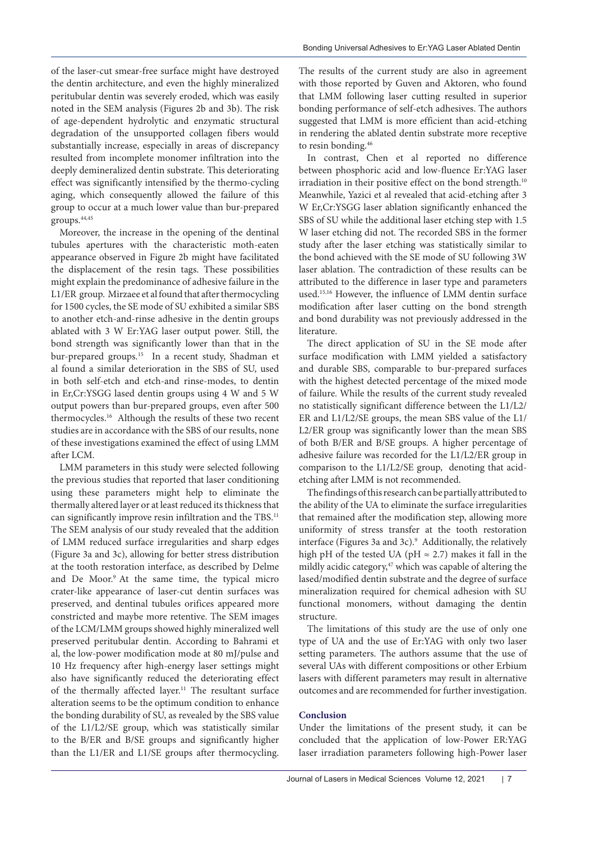of the laser-cut smear-free surface might have destroyed the dentin architecture, and even the highly mineralized peritubular dentin was severely eroded, which was easily noted in the SEM analysis (Figures 2b and 3b). The risk of age-dependent hydrolytic and enzymatic structural degradation of the unsupported collagen fibers would substantially increase, especially in areas of discrepancy resulted from incomplete monomer infiltration into the deeply demineralized dentin substrate. This deteriorating effect was significantly intensified by the thermo-cycling aging, which consequently allowed the failure of this group to occur at a much lower value than bur-prepared groups.44,45

Moreover, the increase in the opening of the dentinal tubules apertures with the characteristic moth-eaten appearance observed in Figure 2b might have facilitated the displacement of the resin tags. These possibilities might explain the predominance of adhesive failure in the L1/ER group. Mirzaee et al found that after thermocycling for 1500 cycles, the SE mode of SU exhibited a similar SBS to another etch-and-rinse adhesive in the dentin groups ablated with 3 W Er:YAG laser output power. Still, the bond strength was significantly lower than that in the bur-prepared groups.<sup>15</sup> In a recent study, Shadman et al found a similar deterioration in the SBS of SU, used in both self-etch and etch-and rinse-modes, to dentin in Er,Cr:YSGG lased dentin groups using 4 W and 5 W output powers than bur-prepared groups, even after 500 thermocycles.<sup>16</sup> Although the results of these two recent studies are in accordance with the SBS of our results, none of these investigations examined the effect of using LMM after LCM.

LMM parameters in this study were selected following the previous studies that reported that laser conditioning using these parameters might help to eliminate the thermally altered layer or at least reduced its thickness that can significantly improve resin infiltration and the TBS.<sup>11</sup> The SEM analysis of our study revealed that the addition of LMM reduced surface irregularities and sharp edges (Figure 3a and 3c), allowing for better stress distribution at the tooth restoration interface, as described by Delme and De Moor.<sup>9</sup> At the same time, the typical micro crater-like appearance of laser-cut dentin surfaces was preserved, and dentinal tubules orifices appeared more constricted and maybe more retentive. The SEM images of the LCM/LMM groups showed highly mineralized well preserved peritubular dentin. According to Bahrami et al, the low-power modification mode at 80 mJ/pulse and 10 Hz frequency after high-energy laser settings might also have significantly reduced the deteriorating effect of the thermally affected layer.<sup>11</sup> The resultant surface alteration seems to be the optimum condition to enhance the bonding durability of SU, as revealed by the SBS value of the L1/L2/SE group, which was statistically similar to the B/ER and B/SE groups and significantly higher than the L1/ER and L1/SE groups after thermocycling.

The results of the current study are also in agreement with those reported by Guven and Aktoren, who found that LMM following laser cutting resulted in superior bonding performance of self-etch adhesives. The authors suggested that LMM is more efficient than acid-etching in rendering the ablated dentin substrate more receptive to resin bonding.<sup>46</sup>

In contrast, Chen et al reported no difference between phosphoric acid and low-fluence Er:YAG laser irradiation in their positive effect on the bond strength.<sup>10</sup> Meanwhile, Yazici et al revealed that acid-etching after 3 W Er,Cr:YSGG laser ablation significantly enhanced the SBS of SU while the additional laser etching step with 1.5 W laser etching did not. The recorded SBS in the former study after the laser etching was statistically similar to the bond achieved with the SE mode of SU following 3W laser ablation. The contradiction of these results can be attributed to the difference in laser type and parameters used.15,16 However, the influence of LMM dentin surface modification after laser cutting on the bond strength and bond durability was not previously addressed in the literature.

The direct application of SU in the SE mode after surface modification with LMM yielded a satisfactory and durable SBS, comparable to bur-prepared surfaces with the highest detected percentage of the mixed mode of failure. While the results of the current study revealed no statistically significant difference between the L1/L2/ ER and L1/L2/SE groups, the mean SBS value of the L1/ L2/ER group was significantly lower than the mean SBS of both B/ER and B/SE groups. A higher percentage of adhesive failure was recorded for the L1/L2/ER group in comparison to the L1/L2/SE group, denoting that acidetching after LMM is not recommended.

The findings of this research can be partially attributed to the ability of the UA to eliminate the surface irregularities that remained after the modification step, allowing more uniformity of stress transfer at the tooth restoration interface (Figures 3a and 3c).<sup>9</sup> Additionally, the relatively high pH of the tested UA (pH  $\approx$  2.7) makes it fall in the mildly acidic category,<sup>47</sup> which was capable of altering the lased/modified dentin substrate and the degree of surface mineralization required for chemical adhesion with SU functional monomers, without damaging the dentin structure.

The limitations of this study are the use of only one type of UA and the use of Er:YAG with only two laser setting parameters. The authors assume that the use of several UAs with different compositions or other Erbium lasers with different parameters may result in alternative outcomes and are recommended for further investigation.

# **Conclusion**

Under the limitations of the present study, it can be concluded that the application of low-Power ER:YAG laser irradiation parameters following high-Power laser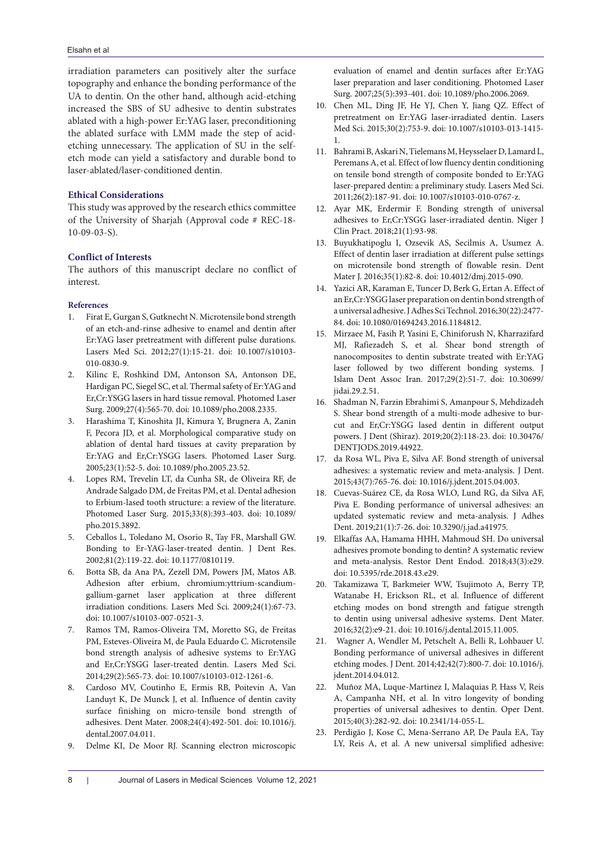irradiation parameters can positively alter the surface topography and enhance the bonding performance of the UA to dentin. On the other hand, although acid-etching increased the SBS of SU adhesive to dentin substrates ablated with a high-power Er:YAG laser, preconditioning the ablated surface with LMM made the step of acidetching unnecessary. The application of SU in the selfetch mode can yield a satisfactory and durable bond to laser-ablated/laser-conditioned dentin.

# **Ethical Considerations**

This study was approved by the research ethics committee of the University of Sharjah (Approval code # REC-18- 10-09-03-S).

# **Conflict of Interests**

The authors of this manuscript declare no conflict of interest.

### **References**

- 1. Firat E, Gurgan S, Gutknecht N. Microtensile bond strength of an etch-and-rinse adhesive to enamel and dentin after Er:YAG laser pretreatment with different pulse durations. Lasers Med Sci. 2012;27(1):15-21. doi: 10.1007/s10103- 010-0830-9.
- 2. Kilinc E, Roshkind DM, Antonson SA, Antonson DE, Hardigan PC, Siegel SC, et al. Thermal safety of Er:YAG and Er,Cr:YSGG lasers in hard tissue removal. Photomed Laser Surg. 2009;27(4):565-70. doi: 10.1089/pho.2008.2335.
- 3. Harashima T, Kinoshita JI, Kimura Y, Brugnera A, Zanin F, Pecora JD, et al. Morphological comparative study on ablation of dental hard tissues at cavity preparation by Er:YAG and Er,Cr:YSGG lasers. Photomed Laser Surg. 2005;23(1):52-5. doi: 10.1089/pho.2005.23.52.
- 4. Lopes RM, Trevelin LT, da Cunha SR, de Oliveira RF, de Andrade Salgado DM, de Freitas PM, et al. Dental adhesion to Erbium-lased tooth structure: a review of the literature. Photomed Laser Surg. 2015;33(8):393-403. doi: 10.1089/ pho.2015.3892.
- 5. Ceballos L, Toledano M, Osorio R, Tay FR, Marshall GW. Bonding to Er-YAG-laser-treated dentin. J Dent Res. 2002;81(2):119-22. doi: 10.1177/0810119.
- 6. Botta SB, da Ana PA, Zezell DM, Powers JM, Matos AB. Adhesion after erbium, chromium:yttrium-scandiumgallium-garnet laser application at three different irradiation conditions. Lasers Med Sci. 2009;24(1):67-73. doi: 10.1007/s10103-007-0521-3.
- 7. Ramos TM, Ramos-Oliveira TM, Moretto SG, de Freitas PM, Esteves-Oliveira M, de Paula Eduardo C. Microtensile bond strength analysis of adhesive systems to Er:YAG and Er,Cr:YSGG laser-treated dentin. Lasers Med Sci. 2014;29(2):565-73. doi: 10.1007/s10103-012-1261-6.
- 8. Cardoso MV, Coutinho E, Ermis RB, Poitevin A, Van Landuyt K, De Munck J, et al. Influence of dentin cavity surface finishing on micro-tensile bond strength of adhesives. Dent Mater. 2008;24(4):492-501. doi: 10.1016/j. dental.2007.04.011.
- 9. Delme KI, De Moor RJ. Scanning electron microscopic

evaluation of enamel and dentin surfaces after Er:YAG laser preparation and laser conditioning. Photomed Laser Surg. 2007;25(5):393-401. doi: 10.1089/pho.2006.2069.

- 10. Chen ML, Ding JF, He YJ, Chen Y, Jiang QZ. Effect of pretreatment on Er:YAG laser-irradiated dentin. Lasers Med Sci. 2015;30(2):753-9. doi: 10.1007/s10103-013-1415- 1.
- 11. Bahrami B, Askari N, Tielemans M, Heysselaer D, Lamard L, Peremans A, et al. Effect of low fluency dentin conditioning on tensile bond strength of composite bonded to Er:YAG laser-prepared dentin: a preliminary study. Lasers Med Sci. 2011;26(2):187-91. doi: 10.1007/s10103-010-0767-z.
- 12. Ayar MK, Erdermir F. Bonding strength of universal adhesives to Er,Cr:YSGG laser-irradiated dentin. Niger J Clin Pract. 2018;21(1):93-98.
- 13. Buyukhatipoglu I, Ozsevik AS, Secilmis A, Usumez A. Effect of dentin laser irradiation at different pulse settings on microtensile bond strength of flowable resin. Dent Mater J. 2016;35(1):82-8. doi: 10.4012/dmj.2015-090.
- 14. Yazici AR, Karaman E, Tuncer D, Berk G, Ertan A. Effect of an Er,Cr:YSGG laser preparation on dentin bond strength of a universal adhesive. J Adhes Sci Technol. 2016;30(22):2477- 84. doi: 10.1080/01694243.2016.1184812.
- 15. Mirzaee M, Fasih P, Yasini E, Chiniforush N, Kharrazifard MJ, Rafiezadeh S, et al. Shear bond strength of nanocomposites to dentin substrate treated with Er:YAG laser followed by two different bonding systems. J Islam Dent Assoc Iran. 2017;29(2):51-7. doi: 10.30699/ jidai.29.2.51.
- 16. Shadman N, Farzin Ebrahimi S, Amanpour S, Mehdizadeh S. Shear bond strength of a multi-mode adhesive to burcut and Er,Cr:YSGG lased dentin in different output powers. J Dent (Shiraz). 2019;20(2):118-23. doi: 10.30476/ DENTJODS.2019.44922.
- 17. da Rosa WL, Piva E, Silva AF. Bond strength of universal adhesives: a systematic review and meta-analysis. J Dent. 2015;43(7):765-76. doi: 10.1016/j.jdent.2015.04.003.
- 18. Cuevas-Suárez CE, da Rosa WLO, Lund RG, da Silva AF, Piva E. Bonding performance of universal adhesives: an updated systematic review and meta-analysis. J Adhes Dent. 2019;21(1):7-26. doi: 10.3290/j.jad.a41975.
- 19. Elkaffas AA, Hamama HHH, Mahmoud SH. Do universal adhesives promote bonding to dentin? A systematic review and meta-analysis. Restor Dent Endod. 2018;43(3):e29. doi: 10.5395/rde.2018.43.e29.
- 20. Takamizawa T, Barkmeier WW, Tsujimoto A, Berry TP, Watanabe H, Erickson RL, et al. Influence of different etching modes on bond strength and fatigue strength to dentin using universal adhesive systems. Dent Mater. 2016;32(2):e9-21. doi: 10.1016/j.dental.2015.11.005.
- 21. Wagner A, Wendler M, Petschelt A, Belli R, Lohbauer U. Bonding performance of universal adhesives in different etching modes. J Dent. 2014;42;42(7):800-7. doi: 10.1016/j. jdent.2014.04.012.
- 22. Muñoz MA, Luque-Martinez I, Malaquias P, Hass V, Reis A, Campanha NH, et al. In vitro longevity of bonding properties of universal adhesives to dentin. Oper Dent. 2015;40(3):282-92. doi: 10.2341/14-055-L.
- 23. Perdigão J, Kose C, Mena-Serrano AP, De Paula EA, Tay LY, Reis A, et al. A new universal simplified adhesive: